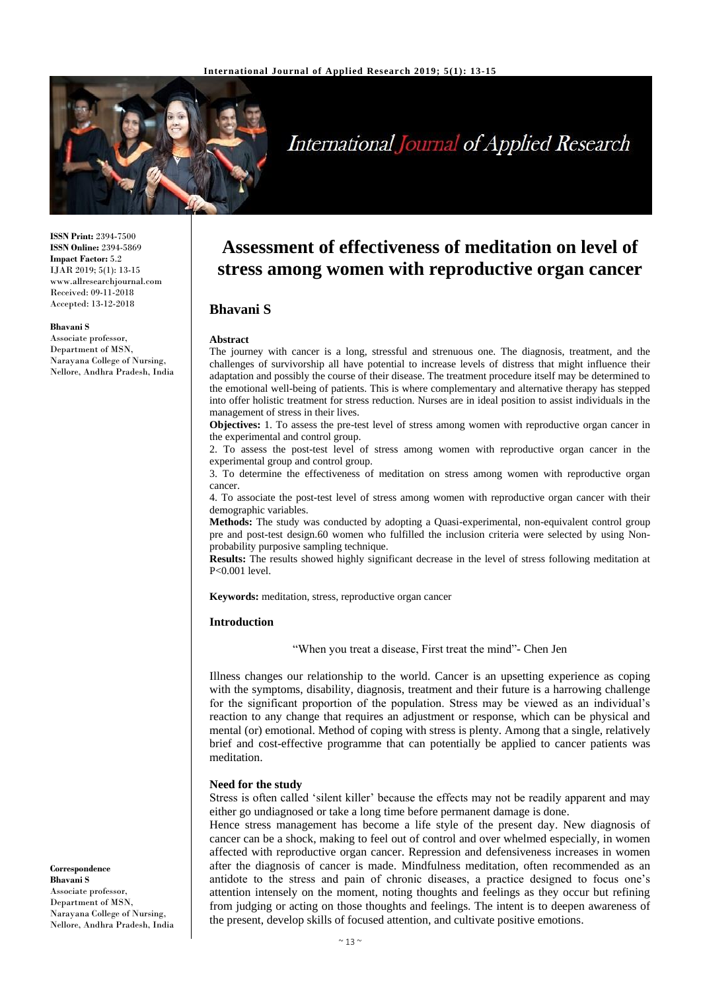

# **International Journal of Applied Research**

**ISSN Print:** 2394-7500 **ISSN Online:** 2394-5869 **Impact Factor:** 5.2 IJAR 2019; 5(1): 13-15 www.allresearchjournal.com Received: 09-11-2018 Accepted: 13-12-2018

#### **Bhavani S**

Associate professor, Department of MSN, Narayana College of Nursing, Nellore, Andhra Pradesh, India

**Assessment of effectiveness of meditation on level of stress among women with reproductive organ cancer**

## **Bhavani S**

#### **Abstract**

The journey with cancer is a long, stressful and strenuous one. The diagnosis, treatment, and the challenges of survivorship all have potential to increase levels of distress that might influence their adaptation and possibly the course of their disease. The treatment procedure itself may be determined to the emotional well-being of patients. This is where complementary and alternative therapy has stepped into offer holistic treatment for stress reduction. Nurses are in ideal position to assist individuals in the management of stress in their lives.

**Objectives:** 1. To assess the pre-test level of stress among women with reproductive organ cancer in the experimental and control group.

2. To assess the post-test level of stress among women with reproductive organ cancer in the experimental group and control group.

3. To determine the effectiveness of meditation on stress among women with reproductive organ cancer.

4. To associate the post-test level of stress among women with reproductive organ cancer with their demographic variables.

**Methods:** The study was conducted by adopting a Quasi-experimental, non-equivalent control group pre and post-test design.60 women who fulfilled the inclusion criteria were selected by using Nonprobability purposive sampling technique.

**Results:** The results showed highly significant decrease in the level of stress following meditation at P<0.001 level.

**Keywords:** meditation, stress, reproductive organ cancer

#### **Introduction**

"When you treat a disease, First treat the mind"- Chen Jen

Illness changes our relationship to the world. Cancer is an upsetting experience as coping with the symptoms, disability, diagnosis, treatment and their future is a harrowing challenge for the significant proportion of the population. Stress may be viewed as an individual's reaction to any change that requires an adjustment or response, which can be physical and mental (or) emotional. Method of coping with stress is plenty. Among that a single, relatively brief and cost-effective programme that can potentially be applied to cancer patients was meditation.

#### **Need for the study**

Stress is often called 'silent killer' because the effects may not be readily apparent and may either go undiagnosed or take a long time before permanent damage is done.

Hence stress management has become a life style of the present day. New diagnosis of cancer can be a shock, making to feel out of control and over whelmed especially, in women affected with reproductive organ cancer. Repression and defensiveness increases in women after the diagnosis of cancer is made. Mindfulness meditation, often recommended as an antidote to the stress and pain of chronic diseases, a practice designed to focus one's attention intensely on the moment, noting thoughts and feelings as they occur but refining from judging or acting on those thoughts and feelings. The intent is to deepen awareness of the present, develop skills of focused attention, and cultivate positive emotions.

**Correspondence Bhavani S** Associate professor, Department of MSN, Narayana College of Nursing, Nellore, Andhra Pradesh, India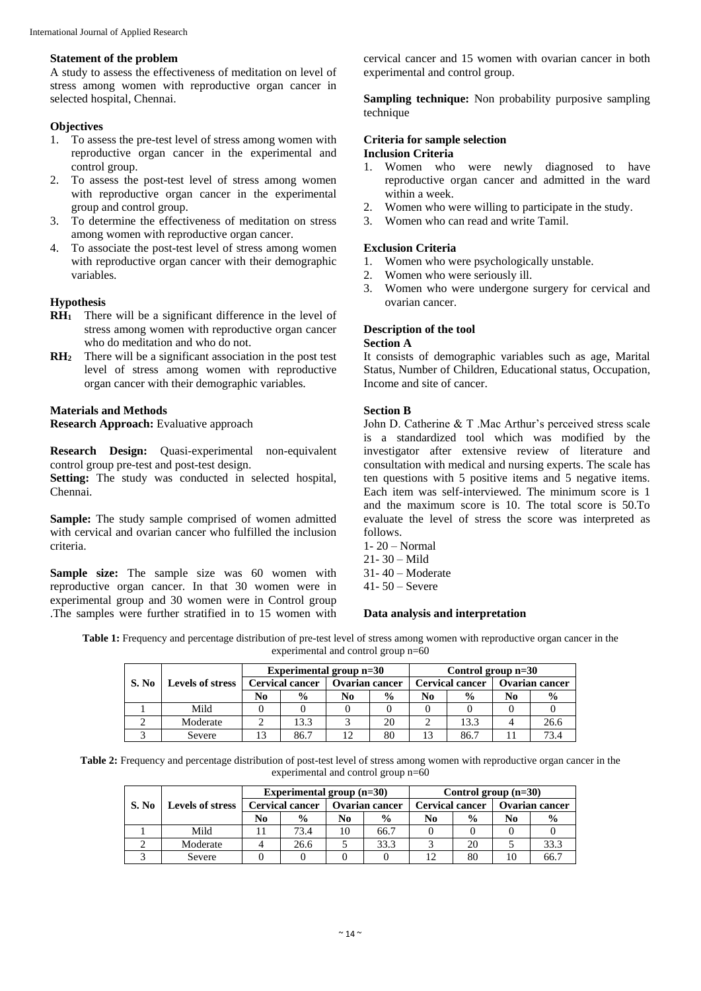#### **Statement of the problem**

A study to assess the effectiveness of meditation on level of stress among women with reproductive organ cancer in selected hospital, Chennai.

#### **Objectives**

- 1. To assess the pre-test level of stress among women with reproductive organ cancer in the experimental and control group.
- 2. To assess the post-test level of stress among women with reproductive organ cancer in the experimental group and control group.
- 3. To determine the effectiveness of meditation on stress among women with reproductive organ cancer.
- 4. To associate the post-test level of stress among women with reproductive organ cancer with their demographic variables.

## **Hypothesis**

- **RH<sup>1</sup>** There will be a significant difference in the level of stress among women with reproductive organ cancer who do meditation and who do not.
- **RH<sup>2</sup>** There will be a significant association in the post test level of stress among women with reproductive organ cancer with their demographic variables.

## **Materials and Methods**

**Research Approach:** Evaluative approach

**Research Design:** Quasi-experimental non-equivalent control group pre-test and post-test design.

Setting: The study was conducted in selected hospital, Chennai.

**Sample:** The study sample comprised of women admitted with cervical and ovarian cancer who fulfilled the inclusion criteria.

**Sample size:** The sample size was 60 women with reproductive organ cancer. In that 30 women were in experimental group and 30 women were in Control group .The samples were further stratified in to 15 women with

cervical cancer and 15 women with ovarian cancer in both experimental and control group.

**Sampling technique:** Non probability purposive sampling technique

#### **Criteria for sample selection Inclusion Criteria**

- 1. Women who were newly diagnosed to have reproductive organ cancer and admitted in the ward within a week.
- 2. Women who were willing to participate in the study.
- 3. Women who can read and write Tamil.

#### **Exclusion Criteria**

- 1. Women who were psychologically unstable.
- 2. Women who were seriously ill.
- 3. Women who were undergone surgery for cervical and ovarian cancer.

#### **Description of the tool Section A**

It consists of demographic variables such as age, Marital Status, Number of Children, Educational status, Occupation, Income and site of cancer.

## **Section B**

John D. Catherine & T .Mac Arthur's perceived stress scale is a standardized tool which was modified by the investigator after extensive review of literature and consultation with medical and nursing experts. The scale has ten questions with 5 positive items and 5 negative items. Each item was self-interviewed. The minimum score is 1 and the maximum score is 10. The total score is 50.To evaluate the level of stress the score was interpreted as follows.

- 1- 20 Normal
- $21 30 -$ Mild
- 31- 40 Moderate
- 41- 50 Severe

## **Data analysis and interpretation**

**Table 1:** Frequency and percentage distribution of pre-test level of stress among women with reproductive organ cancer in the experimental and control group n=60

|       | <b>Levels of stress</b> | Experimental group n=30 |               |                       |               | Control group $n=30$   |               |                |               |
|-------|-------------------------|-------------------------|---------------|-----------------------|---------------|------------------------|---------------|----------------|---------------|
| S. No |                         | <b>Cervical cancer</b>  |               | <b>Ovarian cancer</b> |               | <b>Cervical cancer</b> |               | Ovarian cancer |               |
|       |                         | No                      | $\frac{0}{0}$ | No                    | $\frac{6}{9}$ | No                     | $\frac{6}{6}$ | No             | $\frac{0}{0}$ |
|       | Mild                    |                         |               |                       |               |                        |               |                |               |
|       | Moderate                |                         | 13.3          |                       | 20            |                        | 13.3          |                | 26.6          |
|       | Severe                  |                         | 86.7          |                       | 80            | 13                     | 86.7          |                | 734           |

**Table 2:** Frequency and percentage distribution of post-test level of stress among women with reproductive organ cancer in the experimental and control group n=60

|       | Levels of stress |                        | Experimental group $(n=30)$ |                       |               | Control group $(n=30)$ |               |                       |               |
|-------|------------------|------------------------|-----------------------------|-----------------------|---------------|------------------------|---------------|-----------------------|---------------|
| S. No |                  | <b>Cervical cancer</b> |                             | <b>Ovarian cancer</b> |               | <b>Cervical cancer</b> |               | <b>Ovarian cancer</b> |               |
|       |                  | No                     | $\frac{0}{0}$               | No                    | $\frac{6}{9}$ | No                     | $\frac{0}{0}$ | N <sub>0</sub>        | $\frac{6}{6}$ |
|       | Mild             |                        | 73.4                        | 10                    | 66.7          |                        |               |                       |               |
|       | Moderate         |                        | 26.6                        |                       | 33.3          |                        | 20            |                       | 33.3          |
|       | Severe           |                        |                             |                       |               |                        | 80            |                       | 66.           |